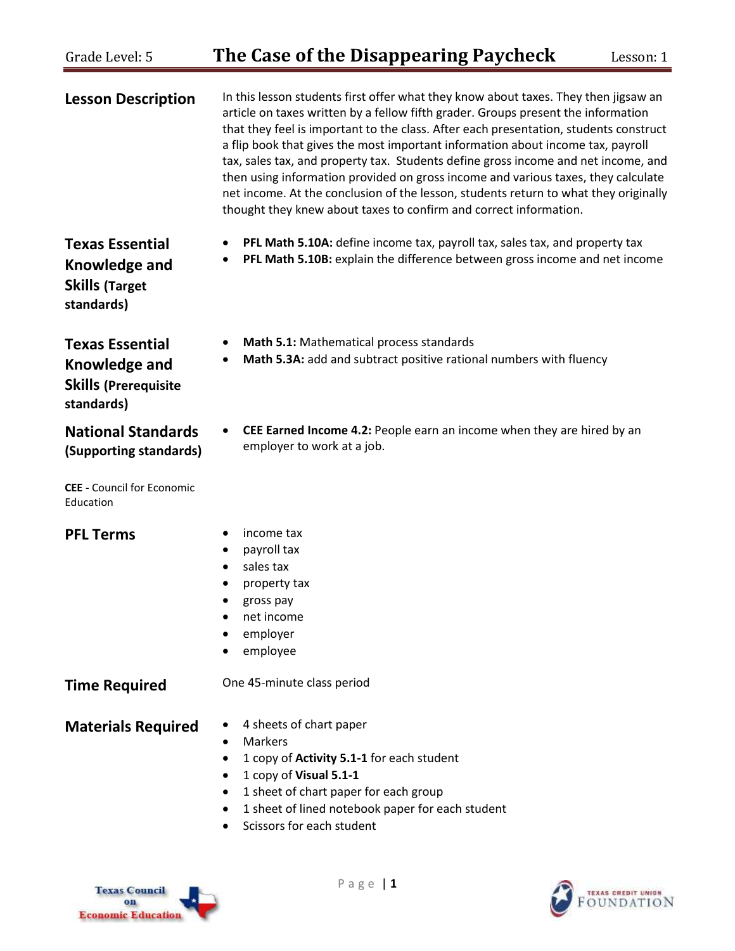# Grade Level: 5 **The Case of the Disappearing Paycheck** Lesson: 1

| <b>Lesson Description</b>                                                            | In this lesson students first offer what they know about taxes. They then jigsaw an<br>article on taxes written by a fellow fifth grader. Groups present the information<br>that they feel is important to the class. After each presentation, students construct<br>a flip book that gives the most important information about income tax, payroll<br>tax, sales tax, and property tax. Students define gross income and net income, and<br>then using information provided on gross income and various taxes, they calculate<br>net income. At the conclusion of the lesson, students return to what they originally<br>thought they knew about taxes to confirm and correct information. |  |
|--------------------------------------------------------------------------------------|----------------------------------------------------------------------------------------------------------------------------------------------------------------------------------------------------------------------------------------------------------------------------------------------------------------------------------------------------------------------------------------------------------------------------------------------------------------------------------------------------------------------------------------------------------------------------------------------------------------------------------------------------------------------------------------------|--|
| <b>Texas Essential</b><br>Knowledge and<br><b>Skills (Target</b><br>standards)       | PFL Math 5.10A: define income tax, payroll tax, sales tax, and property tax<br>PFL Math 5.10B: explain the difference between gross income and net income                                                                                                                                                                                                                                                                                                                                                                                                                                                                                                                                    |  |
| <b>Texas Essential</b><br>Knowledge and<br><b>Skills (Prerequisite</b><br>standards) | Math 5.1: Mathematical process standards<br>$\bullet$<br>Math 5.3A: add and subtract positive rational numbers with fluency                                                                                                                                                                                                                                                                                                                                                                                                                                                                                                                                                                  |  |
| <b>National Standards</b><br>(Supporting standards)                                  | <b>CEE Earned Income 4.2: People earn an income when they are hired by an</b><br>employer to work at a job.                                                                                                                                                                                                                                                                                                                                                                                                                                                                                                                                                                                  |  |
| <b>CEE</b> - Council for Economic<br>Education                                       |                                                                                                                                                                                                                                                                                                                                                                                                                                                                                                                                                                                                                                                                                              |  |
| <b>PFL Terms</b>                                                                     | income tax<br>payroll tax<br>$\bullet$<br>sales tax<br>$\bullet$<br>property tax<br>gross pay<br>net income<br>employer<br>employee                                                                                                                                                                                                                                                                                                                                                                                                                                                                                                                                                          |  |
| <b>Time Required</b>                                                                 | One 45-minute class period                                                                                                                                                                                                                                                                                                                                                                                                                                                                                                                                                                                                                                                                   |  |
| <b>Materials Required</b>                                                            | 4 sheets of chart paper<br><b>Markers</b><br>1 copy of Activity 5.1-1 for each student<br>1 copy of Visual 5.1-1<br>1 sheet of chart paper for each group<br>1 sheet of lined notebook paper for each student                                                                                                                                                                                                                                                                                                                                                                                                                                                                                |  |

• Scissors for each student



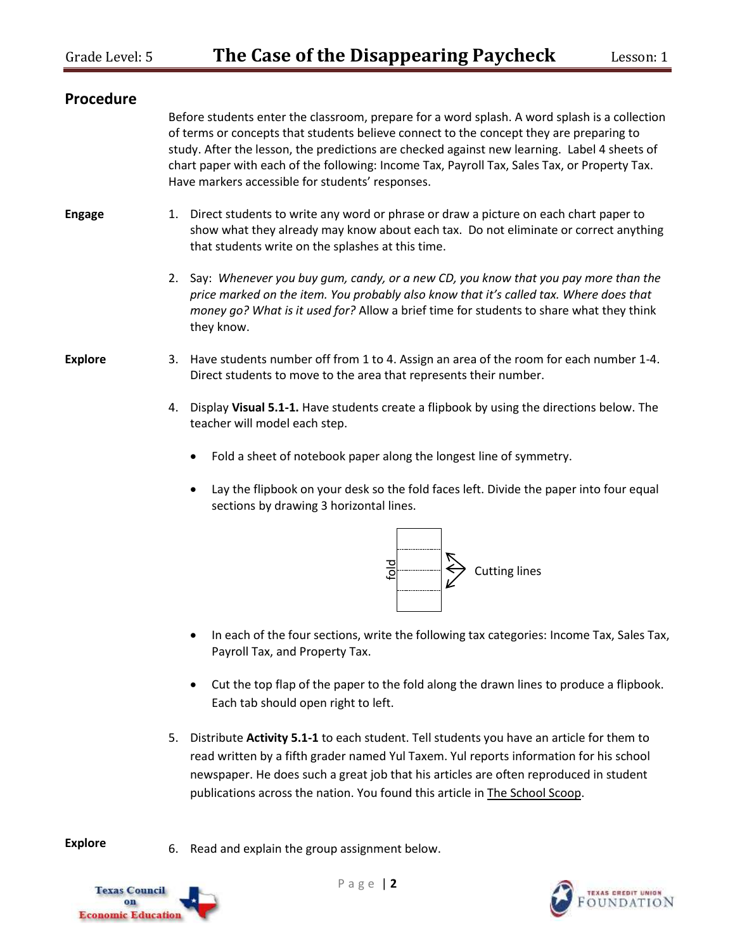| <b>Procedure</b> |                                                                                                                                                                                                    |                                                                                                                                                                                                                                                                                                                                                                                                                                              |  |
|------------------|----------------------------------------------------------------------------------------------------------------------------------------------------------------------------------------------------|----------------------------------------------------------------------------------------------------------------------------------------------------------------------------------------------------------------------------------------------------------------------------------------------------------------------------------------------------------------------------------------------------------------------------------------------|--|
|                  |                                                                                                                                                                                                    | Before students enter the classroom, prepare for a word splash. A word splash is a collection<br>of terms or concepts that students believe connect to the concept they are preparing to<br>study. After the lesson, the predictions are checked against new learning. Label 4 sheets of<br>chart paper with each of the following: Income Tax, Payroll Tax, Sales Tax, or Property Tax.<br>Have markers accessible for students' responses. |  |
| <b>Engage</b>    |                                                                                                                                                                                                    | 1. Direct students to write any word or phrase or draw a picture on each chart paper to<br>show what they already may know about each tax. Do not eliminate or correct anything<br>that students write on the splashes at this time.                                                                                                                                                                                                         |  |
|                  | they know.                                                                                                                                                                                         | 2. Say: Whenever you buy gum, candy, or a new CD, you know that you pay more than the<br>price marked on the item. You probably also know that it's called tax. Where does that<br>money go? What is it used for? Allow a brief time for students to share what they think                                                                                                                                                                   |  |
| <b>Explore</b>   | 3. Have students number off from 1 to 4. Assign an area of the room for each number 1-4.<br>Direct students to move to the area that represents their number.                                      |                                                                                                                                                                                                                                                                                                                                                                                                                                              |  |
|                  | 4. Display Visual 5.1-1. Have students create a flipbook by using the directions below. The<br>teacher will model each step.<br>Fold a sheet of notebook paper along the longest line of symmetry. |                                                                                                                                                                                                                                                                                                                                                                                                                                              |  |
|                  |                                                                                                                                                                                                    |                                                                                                                                                                                                                                                                                                                                                                                                                                              |  |
|                  | Lay the flipbook on your desk so the fold faces left. Divide the paper into four equal<br>sections by drawing 3 horizontal lines.                                                                  |                                                                                                                                                                                                                                                                                                                                                                                                                                              |  |
|                  |                                                                                                                                                                                                    | fold<br><b>Cutting lines</b>                                                                                                                                                                                                                                                                                                                                                                                                                 |  |

- In each of the four sections, write the following tax categories: Income Tax, Sales Tax, Payroll Tax, and Property Tax.
- Cut the top flap of the paper to the fold along the drawn lines to produce a flipbook. Each tab should open right to left.
- P<br>
S<br>
ions, write the<br>
ty Tax.<br>
baper to the<br>
ght to left.<br>
each studen<br>
er named Yu<br>
great job th<br>
on. You four<br>
assignment<br>
Page | 2 5. Distribute **Activity 5.1-1** to each student. Tell students you have an article for them to read written by a fifth grader named Yul Taxem. Yul reports information for his school newspaper. He does such a great job that his articles are often reproduced in student publications across the nation. You found this article in The School Scoop.

**Explore** 6. Read and explain the group assignment below.



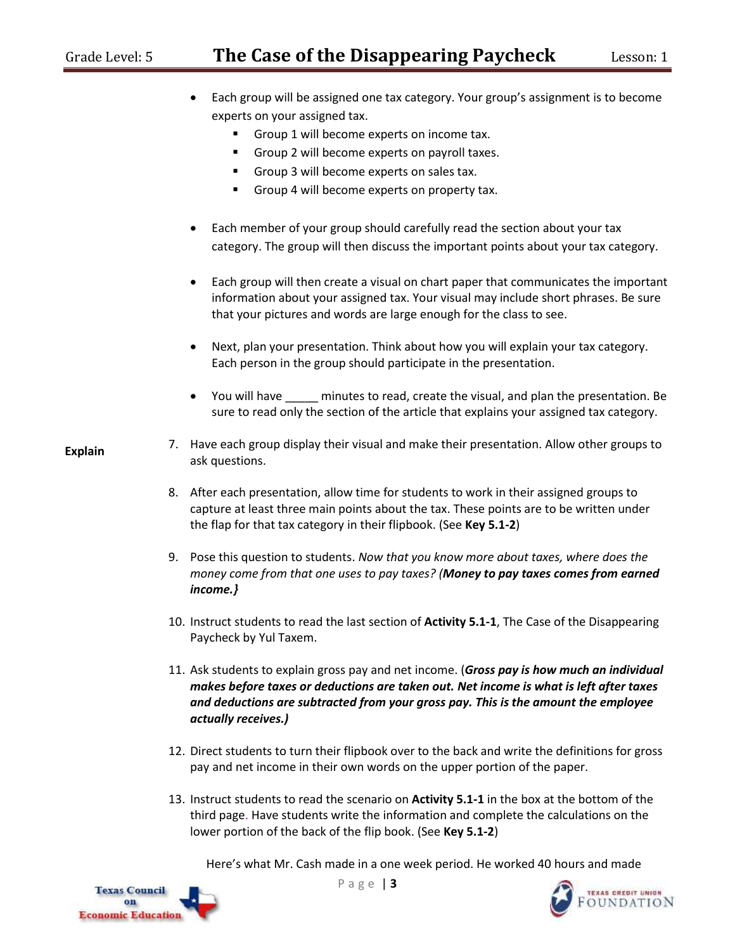## Grade Level: 5 **The Case of the Disappearing Paycheck** Lesson: 1

|                | Each group will be assigned one tax category. Your group's assignment is to become<br>experts on your assigned tax.<br>Group 1 will become experts on income tax.<br>٠<br>Group 2 will become experts on payroll taxes.<br>٠<br>Group 3 will become experts on sales tax.<br>٠<br>Group 4 will become experts on property tax.<br>٠ |
|----------------|-------------------------------------------------------------------------------------------------------------------------------------------------------------------------------------------------------------------------------------------------------------------------------------------------------------------------------------|
|                | Each member of your group should carefully read the section about your tax<br>category. The group will then discuss the important points about your tax category.                                                                                                                                                                   |
|                | Each group will then create a visual on chart paper that communicates the important<br>٠<br>information about your assigned tax. Your visual may include short phrases. Be sure<br>that your pictures and words are large enough for the class to see.                                                                              |
|                | Next, plan your presentation. Think about how you will explain your tax category.<br>$\bullet$<br>Each person in the group should participate in the presentation.                                                                                                                                                                  |
|                | You will have minutes to read, create the visual, and plan the presentation. Be<br>$\bullet$<br>sure to read only the section of the article that explains your assigned tax category.                                                                                                                                              |
| <b>Explain</b> | Have each group display their visual and make their presentation. Allow other groups to<br>7.<br>ask questions.                                                                                                                                                                                                                     |
|                | 8. After each presentation, allow time for students to work in their assigned groups to<br>capture at least three main points about the tax. These points are to be written under<br>the flap for that tax category in their flipbook. (See Key 5.1-2)                                                                              |
|                | Pose this question to students. Now that you know more about taxes, where does the<br>9.<br>money come from that one uses to pay taxes? (Money to pay taxes comes from earned<br>income.}                                                                                                                                           |
|                | 10. Instruct students to read the last section of Activity 5.1-1, The Case of the Disappearing<br>Paycheck by Yul Taxem.                                                                                                                                                                                                            |
|                | 11. Ask students to explain gross pay and net income. (Gross pay is how much an individual<br>makes before taxes or deductions are taken out. Net income is what is left after taxes<br>and deductions are subtracted from your gross pay. This is the amount the employee<br>actually receives.)                                   |

- 12. Direct students to turn their flipbook over to the back and write the definitions for gross pay and net income in their own words on the upper portion of the paper.
- 13. Instruct students to read the scenario on **Activity 5.1-1** in the box at the bottom of the third page. Have students write the information and complete the calculations on the lower portion of the back of the flip book. (See **Key 5.1-2**)

Here's what Mr. Cash made in a one week period. He worked 40 hours and made



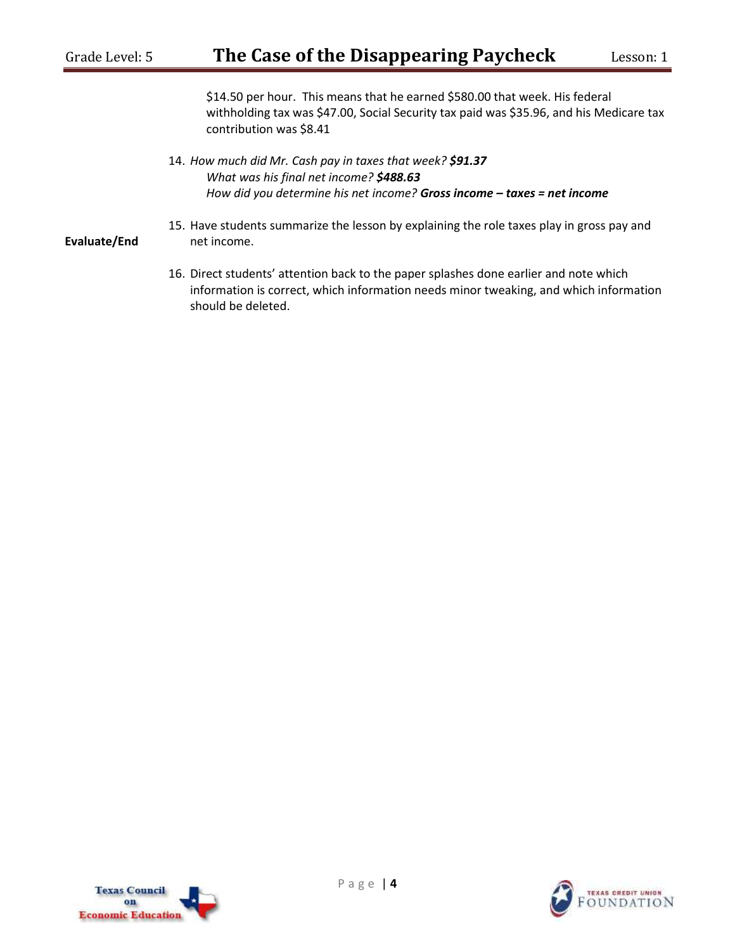\$14.50 per hour. This means that he earned \$580.00 that week. His federal withholding tax was \$47.00, Social Security tax paid was \$35.96, and his Medicare tax contribution was \$8.41

14. *How much did Mr. Cash pay in taxes that week? \$91.37 What was his final net income? \$488.63 How did you determine his net income? Gross income – taxes = net income*

#### **Evaluate/End** 15. Have students summarize the lesson by explaining the role taxes play in gross pay and net income.

16. Direct students' attention back to the paper splashes done earlier and note which information is correct, which information needs minor tweaking, and which information should be deleted.



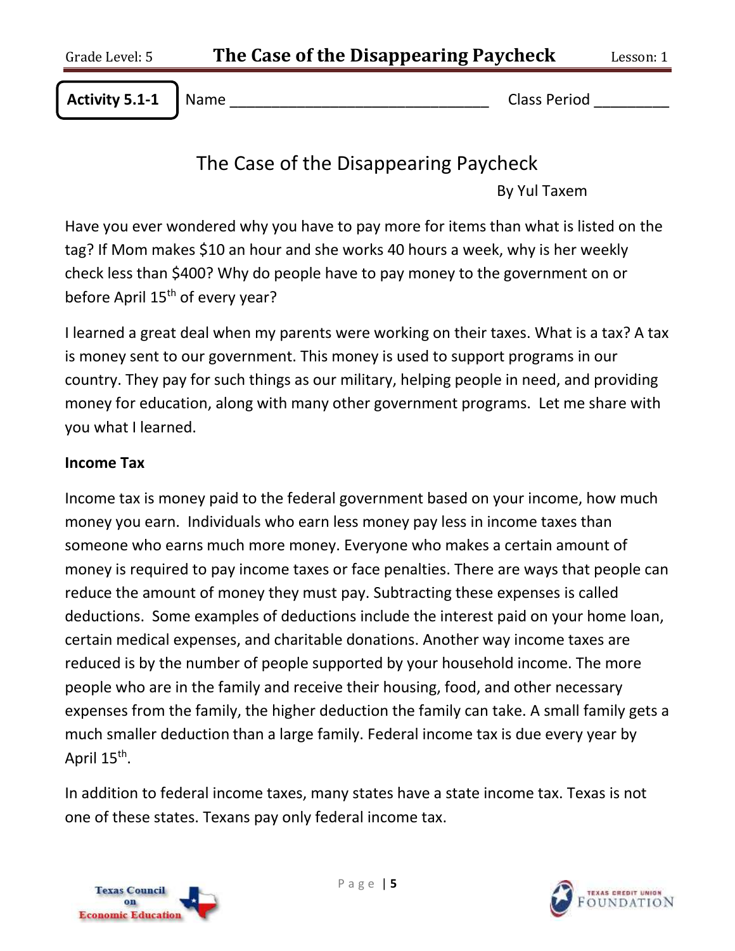**Activity 5.1-1**

Name **Name Name Name Name Name Class Period Class Period** 

The Case of the Disappearing Paycheck

By Yul Taxem

Have you ever wondered why you have to pay more for items than what is listed on the tag? If Mom makes \$10 an hour and she works 40 hours a week, why is her weekly check less than \$400? Why do people have to pay money to the government on or before April 15<sup>th</sup> of every year?

I learned a great deal when my parents were working on their taxes. What is a tax? A tax is money sent to our government. This money is used to support programs in our country. They pay for such things as our military, helping people in need, and providing money for education, along with many other government programs. Let me share with you what I learned.

#### **Income Tax**

Income tax is money paid to the federal government based on your income, how much money you earn. Individuals who earn less money pay less in income taxes than someone who earns much more money. Everyone who makes a certain amount of money is required to pay income taxes or face penalties. There are ways that people can reduce the amount of money they must pay. Subtracting these expenses is called deductions. Some examples of deductions include the interest paid on your home loan, certain medical expenses, and charitable donations. Another way income taxes are reduced is by the number of people supported by your household income. The more people who are in the family and receive their housing, food, and other necessary expenses from the family, the higher deduction the family can take. A small family gets a much smaller deduction than a large family. Federal income tax is due every year by April 15<sup>th</sup>.

In addition to federal income taxes, many states have a state income tax. Texas is not one of these states. Texans pay only federal income tax.



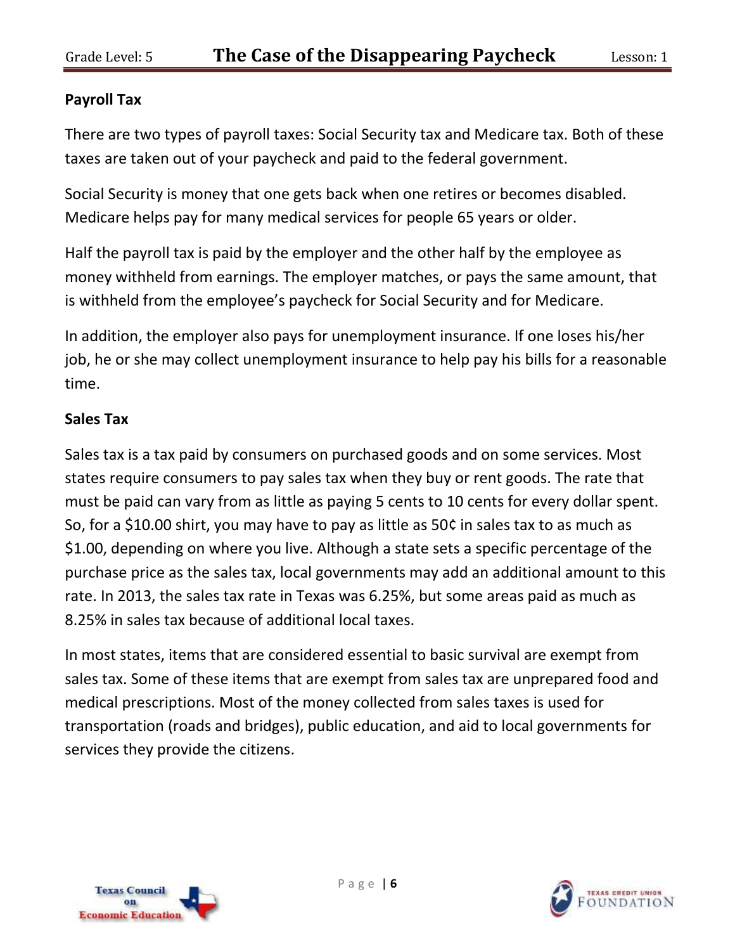#### **Payroll Tax**

There are two types of payroll taxes: Social Security tax and Medicare tax. Both of these taxes are taken out of your paycheck and paid to the federal government.

Social Security is money that one gets back when one retires or becomes disabled. Medicare helps pay for many medical services for people 65 years or older.

Half the payroll tax is paid by the employer and the other half by the employee as money withheld from earnings. The employer matches, or pays the same amount, that is withheld from the employee's paycheck for Social Security and for Medicare.

In addition, the employer also pays for unemployment insurance. If one loses his/her job, he or she may collect unemployment insurance to help pay his bills for a reasonable time.

#### **Sales Tax**

Sales tax is a tax paid by consumers on purchased goods and on some services. Most states require consumers to pay sales tax when they buy or rent goods. The rate that must be paid can vary from as little as paying 5 cents to 10 cents for every dollar spent. So, for a \$10.00 shirt, you may have to pay as little as 50¢ in sales tax to as much as \$1.00, depending on where you live. Although a state sets a specific percentage of the purchase price as the sales tax, local governments may add an additional amount to this rate. In 2013, the sales tax rate in Texas was 6.25%, but some areas paid as much as 8.25% in sales tax because of additional local taxes.

In most states, items that are considered essential to basic survival are exempt from sales tax. Some of these items that are exempt from sales tax are unprepared food and medical prescriptions. Most of the money collected from sales taxes is used for transportation (roads and bridges), public education, and aid to local governments for services they provide the citizens.



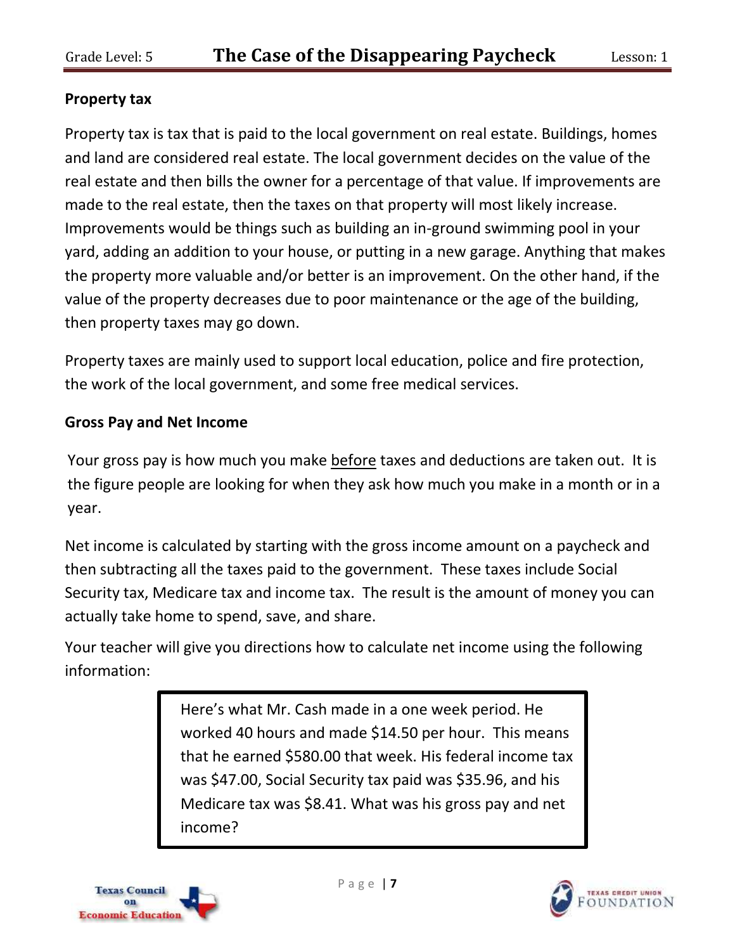### **Property tax**

Property tax is tax that is paid to the local government on real estate. Buildings, homes and land are considered real estate. The local government decides on the value of the real estate and then bills the owner for a percentage of that value. If improvements are made to the real estate, then the taxes on that property will most likely increase. Improvements would be things such as building an in-ground swimming pool in your yard, adding an addition to your house, or putting in a new garage. Anything that makes the property more valuable and/or better is an improvement. On the other hand, if the value of the property decreases due to poor maintenance or the age of the building, then property taxes may go down.

Property taxes are mainly used to support local education, police and fire protection, the work of the local government, and some free medical services.

#### **Gross Pay and Net Income**

Your gross pay is how much you make before taxes and deductions are taken out. It is the figure people are looking for when they ask how much you make in a month or in a year.

Net income is calculated by starting with the gross income amount on a paycheck and then subtracting all the taxes paid to the government. These taxes include Social Security tax, Medicare tax and income tax. The result is the amount of money you can actually take home to spend, save, and share.

Your teacher will give you directions how to calculate net income using the following information:

> Here's what Mr. Cash made in a one week period. He worked 40 hours and made \$14.50 per hour. This means that he earned \$580.00 that week. His federal income tax was \$47.00, Social Security tax paid was \$35.96, and his Medicare tax was \$8.41. What was his gross pay and net income?



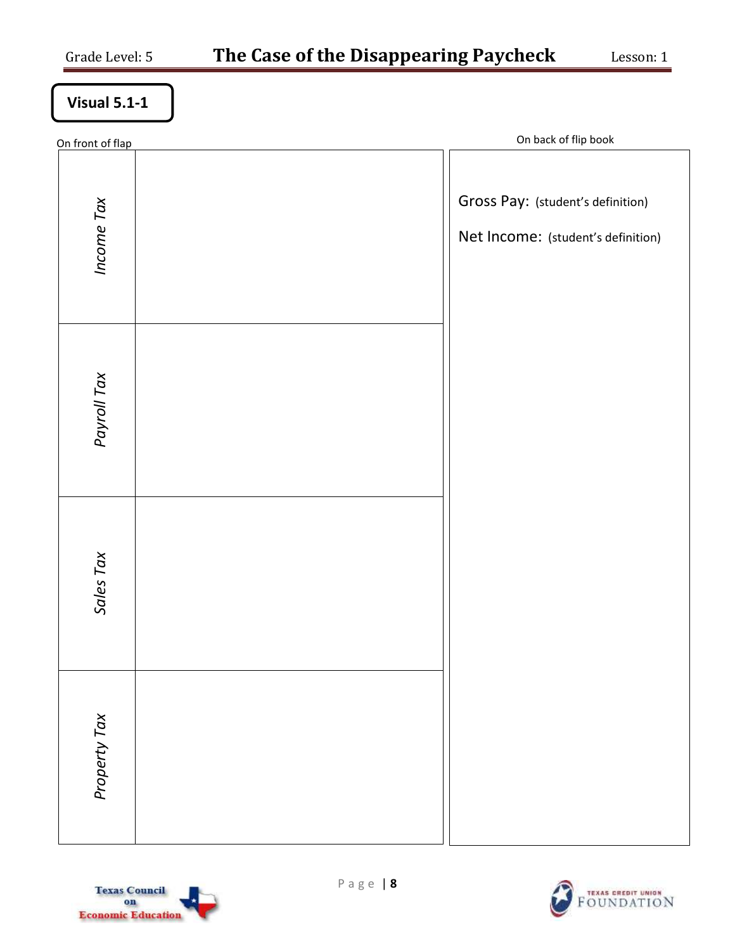## **Visual 5.1-1**

| On front of flap | On back of flip book                                                    |
|------------------|-------------------------------------------------------------------------|
| Income Tax       | Gross Pay: (student's definition)<br>Net Income: (student's definition) |
| Payroll Tax      |                                                                         |
| Sales Tax        |                                                                         |
| Property Tax     |                                                                         |